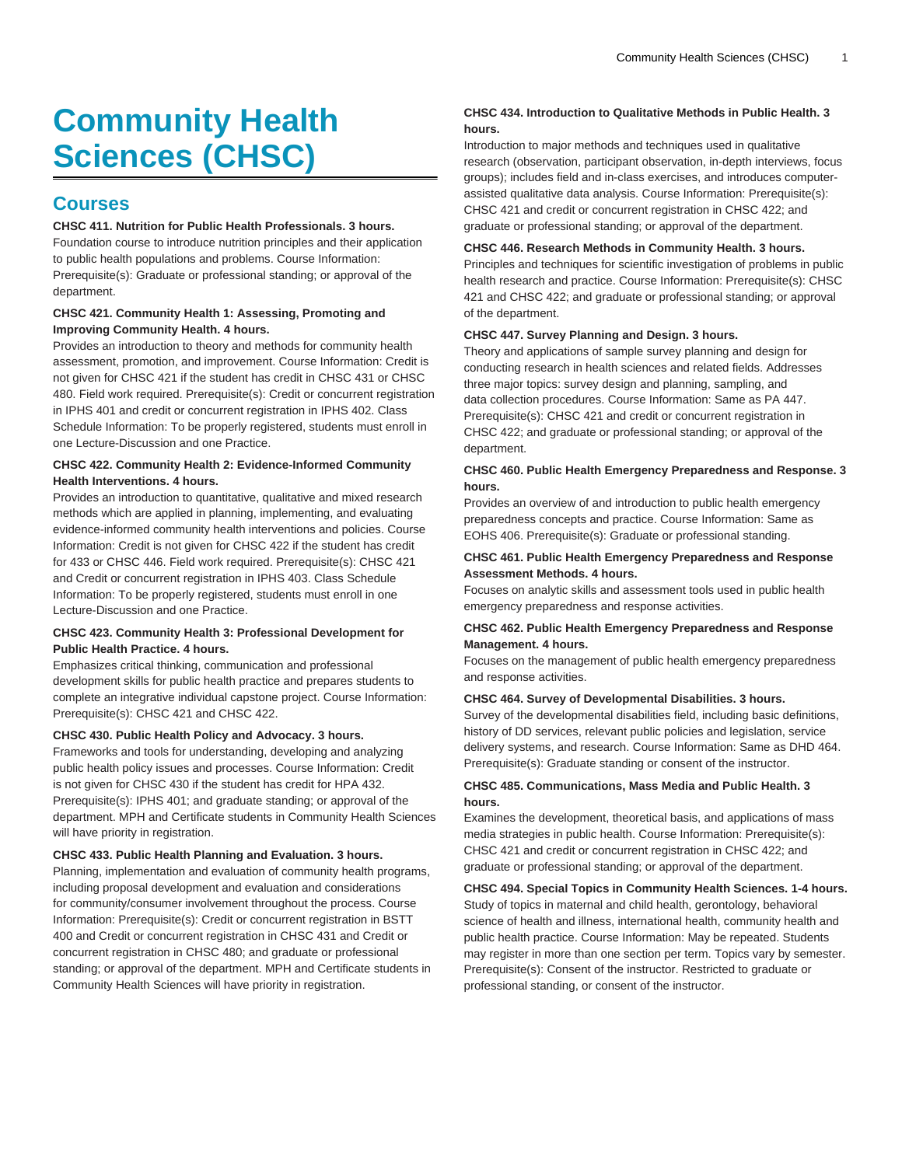# **Community Health Sciences (CHSC)**

# **Courses**

## **CHSC 411. Nutrition for Public Health Professionals. 3 hours.**

Foundation course to introduce nutrition principles and their application to public health populations and problems. Course Information: Prerequisite(s): Graduate or professional standing; or approval of the department.

## **CHSC 421. Community Health 1: Assessing, Promoting and Improving Community Health. 4 hours.**

Provides an introduction to theory and methods for community health assessment, promotion, and improvement. Course Information: Credit is not given for CHSC 421 if the student has credit in CHSC 431 or CHSC 480. Field work required. Prerequisite(s): Credit or concurrent registration in IPHS 401 and credit or concurrent registration in IPHS 402. Class Schedule Information: To be properly registered, students must enroll in one Lecture-Discussion and one Practice.

### **CHSC 422. Community Health 2: Evidence-Informed Community Health Interventions. 4 hours.**

Provides an introduction to quantitative, qualitative and mixed research methods which are applied in planning, implementing, and evaluating evidence-informed community health interventions and policies. Course Information: Credit is not given for CHSC 422 if the student has credit for 433 or CHSC 446. Field work required. Prerequisite(s): CHSC 421 and Credit or concurrent registration in IPHS 403. Class Schedule Information: To be properly registered, students must enroll in one Lecture-Discussion and one Practice.

#### **CHSC 423. Community Health 3: Professional Development for Public Health Practice. 4 hours.**

Emphasizes critical thinking, communication and professional development skills for public health practice and prepares students to complete an integrative individual capstone project. Course Information: Prerequisite(s): CHSC 421 and CHSC 422.

#### **CHSC 430. Public Health Policy and Advocacy. 3 hours.**

Frameworks and tools for understanding, developing and analyzing public health policy issues and processes. Course Information: Credit is not given for CHSC 430 if the student has credit for HPA 432. Prerequisite(s): IPHS 401; and graduate standing; or approval of the department. MPH and Certificate students in Community Health Sciences will have priority in registration.

#### **CHSC 433. Public Health Planning and Evaluation. 3 hours.**

Planning, implementation and evaluation of community health programs, including proposal development and evaluation and considerations for community/consumer involvement throughout the process. Course Information: Prerequisite(s): Credit or concurrent registration in BSTT 400 and Credit or concurrent registration in CHSC 431 and Credit or concurrent registration in CHSC 480; and graduate or professional standing; or approval of the department. MPH and Certificate students in Community Health Sciences will have priority in registration.

# **CHSC 434. Introduction to Qualitative Methods in Public Health. 3 hours.**

Introduction to major methods and techniques used in qualitative research (observation, participant observation, in-depth interviews, focus groups); includes field and in-class exercises, and introduces computerassisted qualitative data analysis. Course Information: Prerequisite(s): CHSC 421 and credit or concurrent registration in CHSC 422; and graduate or professional standing; or approval of the department.

#### **CHSC 446. Research Methods in Community Health. 3 hours.**

Principles and techniques for scientific investigation of problems in public health research and practice. Course Information: Prerequisite(s): CHSC 421 and CHSC 422; and graduate or professional standing; or approval of the department.

#### **CHSC 447. Survey Planning and Design. 3 hours.**

Theory and applications of sample survey planning and design for conducting research in health sciences and related fields. Addresses three major topics: survey design and planning, sampling, and data collection procedures. Course Information: Same as PA 447. Prerequisite(s): CHSC 421 and credit or concurrent registration in CHSC 422; and graduate or professional standing; or approval of the department.

# **CHSC 460. Public Health Emergency Preparedness and Response. 3 hours.**

Provides an overview of and introduction to public health emergency preparedness concepts and practice. Course Information: Same as EOHS 406. Prerequisite(s): Graduate or professional standing.

#### **CHSC 461. Public Health Emergency Preparedness and Response Assessment Methods. 4 hours.**

Focuses on analytic skills and assessment tools used in public health emergency preparedness and response activities.

#### **CHSC 462. Public Health Emergency Preparedness and Response Management. 4 hours.**

Focuses on the management of public health emergency preparedness and response activities.

#### **CHSC 464. Survey of Developmental Disabilities. 3 hours.**

Survey of the developmental disabilities field, including basic definitions, history of DD services, relevant public policies and legislation, service delivery systems, and research. Course Information: Same as DHD 464. Prerequisite(s): Graduate standing or consent of the instructor.

# **CHSC 485. Communications, Mass Media and Public Health. 3 hours.**

Examines the development, theoretical basis, and applications of mass media strategies in public health. Course Information: Prerequisite(s): CHSC 421 and credit or concurrent registration in CHSC 422; and graduate or professional standing; or approval of the department.

#### **CHSC 494. Special Topics in Community Health Sciences. 1-4 hours.** Study of topics in maternal and child health, gerontology, behavioral

science of health and illness, international health, community health and public health practice. Course Information: May be repeated. Students may register in more than one section per term. Topics vary by semester. Prerequisite(s): Consent of the instructor. Restricted to graduate or professional standing, or consent of the instructor.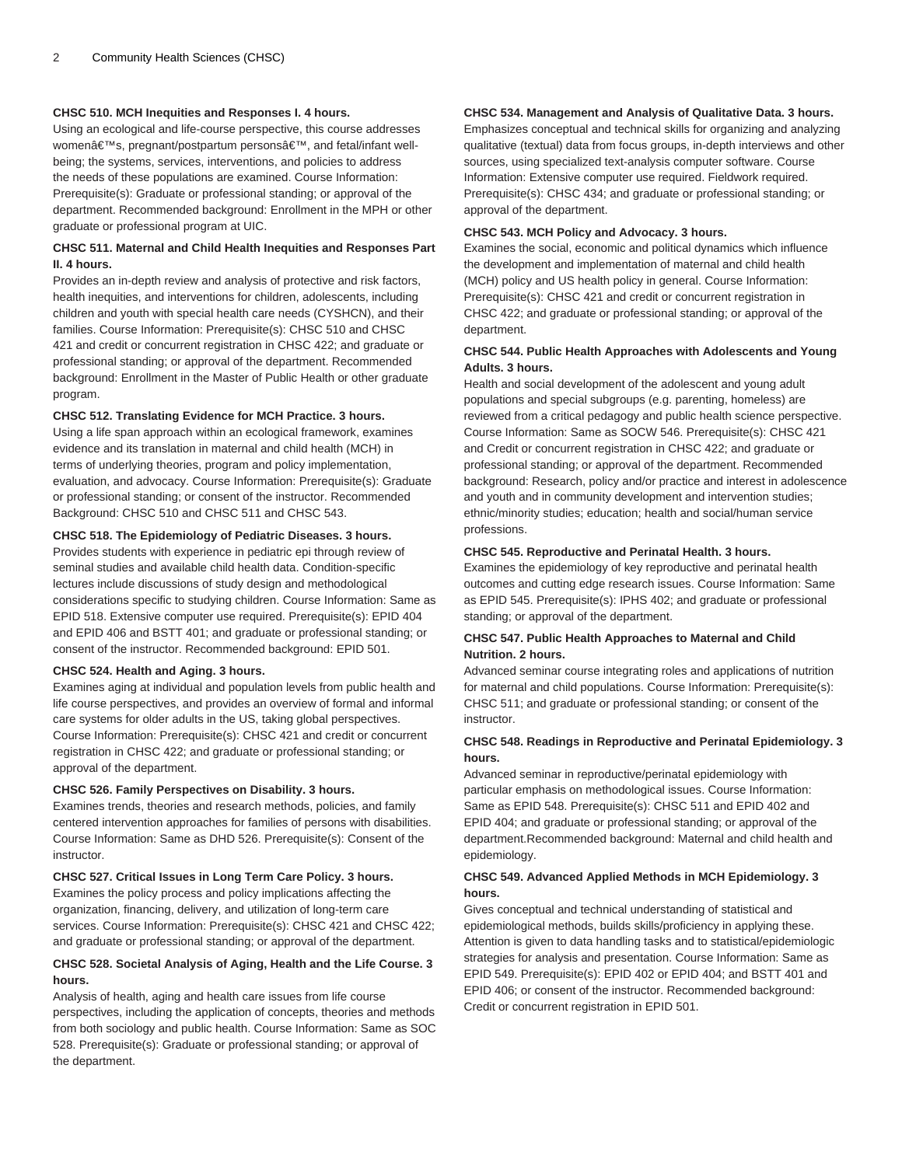# **CHSC 510. MCH Inequities and Responses I. 4 hours.**

Using an ecological and life-course perspective, this course addresses women's, pregnant/postpartum persons', and fetal/infant wellbeing; the systems, services, interventions, and policies to address the needs of these populations are examined. Course Information: Prerequisite(s): Graduate or professional standing; or approval of the department. Recommended background: Enrollment in the MPH or other graduate or professional program at UIC.

# **CHSC 511. Maternal and Child Health Inequities and Responses Part II. 4 hours.**

Provides an in-depth review and analysis of protective and risk factors, health inequities, and interventions for children, adolescents, including children and youth with special health care needs (CYSHCN), and their families. Course Information: Prerequisite(s): CHSC 510 and CHSC 421 and credit or concurrent registration in CHSC 422; and graduate or professional standing; or approval of the department. Recommended background: Enrollment in the Master of Public Health or other graduate program.

#### **CHSC 512. Translating Evidence for MCH Practice. 3 hours.**

Using a life span approach within an ecological framework, examines evidence and its translation in maternal and child health (MCH) in terms of underlying theories, program and policy implementation, evaluation, and advocacy. Course Information: Prerequisite(s): Graduate or professional standing; or consent of the instructor. Recommended Background: CHSC 510 and CHSC 511 and CHSC 543.

#### **CHSC 518. The Epidemiology of Pediatric Diseases. 3 hours.**

Provides students with experience in pediatric epi through review of seminal studies and available child health data. Condition-specific lectures include discussions of study design and methodological considerations specific to studying children. Course Information: Same as EPID 518. Extensive computer use required. Prerequisite(s): EPID 404 and EPID 406 and BSTT 401; and graduate or professional standing; or consent of the instructor. Recommended background: EPID 501.

#### **CHSC 524. Health and Aging. 3 hours.**

Examines aging at individual and population levels from public health and life course perspectives, and provides an overview of formal and informal care systems for older adults in the US, taking global perspectives. Course Information: Prerequisite(s): CHSC 421 and credit or concurrent registration in CHSC 422; and graduate or professional standing; or approval of the department.

#### **CHSC 526. Family Perspectives on Disability. 3 hours.**

Examines trends, theories and research methods, policies, and family centered intervention approaches for families of persons with disabilities. Course Information: Same as DHD 526. Prerequisite(s): Consent of the instructor.

#### **CHSC 527. Critical Issues in Long Term Care Policy. 3 hours.**

Examines the policy process and policy implications affecting the organization, financing, delivery, and utilization of long-term care services. Course Information: Prerequisite(s): CHSC 421 and CHSC 422; and graduate or professional standing; or approval of the department.

# **CHSC 528. Societal Analysis of Aging, Health and the Life Course. 3 hours.**

Analysis of health, aging and health care issues from life course perspectives, including the application of concepts, theories and methods from both sociology and public health. Course Information: Same as SOC 528. Prerequisite(s): Graduate or professional standing; or approval of the department.

# **CHSC 534. Management and Analysis of Qualitative Data. 3 hours.**

Emphasizes conceptual and technical skills for organizing and analyzing qualitative (textual) data from focus groups, in-depth interviews and other sources, using specialized text-analysis computer software. Course Information: Extensive computer use required. Fieldwork required. Prerequisite(s): CHSC 434; and graduate or professional standing; or approval of the department.

#### **CHSC 543. MCH Policy and Advocacy. 3 hours.**

Examines the social, economic and political dynamics which influence the development and implementation of maternal and child health (MCH) policy and US health policy in general. Course Information: Prerequisite(s): CHSC 421 and credit or concurrent registration in CHSC 422; and graduate or professional standing; or approval of the department.

# **CHSC 544. Public Health Approaches with Adolescents and Young Adults. 3 hours.**

Health and social development of the adolescent and young adult populations and special subgroups (e.g. parenting, homeless) are reviewed from a critical pedagogy and public health science perspective. Course Information: Same as SOCW 546. Prerequisite(s): CHSC 421 and Credit or concurrent registration in CHSC 422; and graduate or professional standing; or approval of the department. Recommended background: Research, policy and/or practice and interest in adolescence and youth and in community development and intervention studies; ethnic/minority studies; education; health and social/human service professions.

#### **CHSC 545. Reproductive and Perinatal Health. 3 hours.**

Examines the epidemiology of key reproductive and perinatal health outcomes and cutting edge research issues. Course Information: Same as EPID 545. Prerequisite(s): IPHS 402; and graduate or professional standing; or approval of the department.

# **CHSC 547. Public Health Approaches to Maternal and Child Nutrition. 2 hours.**

Advanced seminar course integrating roles and applications of nutrition for maternal and child populations. Course Information: Prerequisite(s): CHSC 511; and graduate or professional standing; or consent of the instructor.

#### **CHSC 548. Readings in Reproductive and Perinatal Epidemiology. 3 hours.**

Advanced seminar in reproductive/perinatal epidemiology with particular emphasis on methodological issues. Course Information: Same as EPID 548. Prerequisite(s): CHSC 511 and EPID 402 and EPID 404; and graduate or professional standing; or approval of the department.Recommended background: Maternal and child health and epidemiology.

#### **CHSC 549. Advanced Applied Methods in MCH Epidemiology. 3 hours.**

Gives conceptual and technical understanding of statistical and epidemiological methods, builds skills/proficiency in applying these. Attention is given to data handling tasks and to statistical/epidemiologic strategies for analysis and presentation. Course Information: Same as EPID 549. Prerequisite(s): EPID 402 or EPID 404; and BSTT 401 and EPID 406; or consent of the instructor. Recommended background: Credit or concurrent registration in EPID 501.